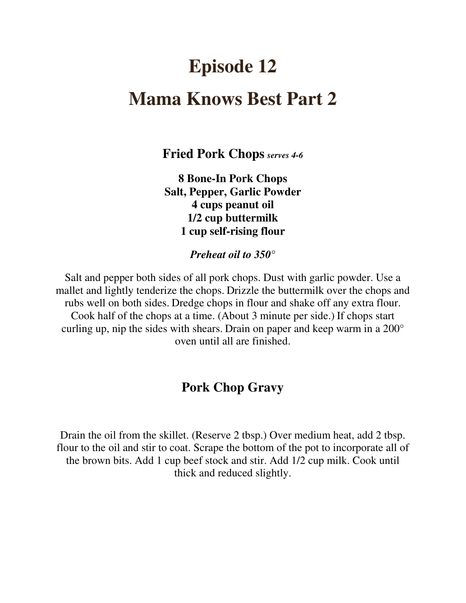# **Episode 12 Mama Knows Best Part 2**

**Fried Pork Chops** *serves 4-6*

**8 Bone-In Pork Chops Salt, Pepper, Garlic Powder 4 cups peanut oil 1/2 cup buttermilk 1 cup self-rising flour**

*Preheat oil to 350°* 

Salt and pepper both sides of all pork chops. Dust with garlic powder. Use a mallet and lightly tenderize the chops. Drizzle the buttermilk over the chops and rubs well on both sides. Dredge chops in flour and shake off any extra flour. Cook half of the chops at a time. (About 3 minute per side.) If chops start curling up, nip the sides with shears. Drain on paper and keep warm in a 200° oven until all are finished.

## **Pork Chop Gravy**

Drain the oil from the skillet. (Reserve 2 tbsp.) Over medium heat, add 2 tbsp. flour to the oil and stir to coat. Scrape the bottom of the pot to incorporate all of the brown bits. Add 1 cup beef stock and stir. Add 1/2 cup milk. Cook until thick and reduced slightly.